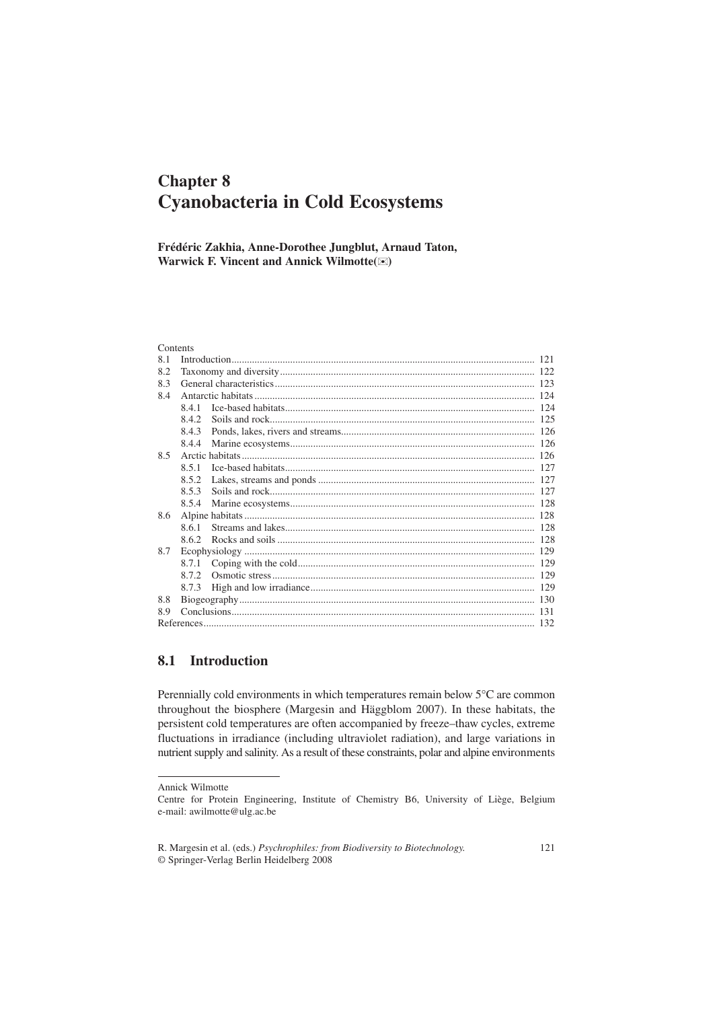# **Chapter 8 Cyanobacteria in Cold Ecosystems**

**Frédéric Zakhia, Anne-Dorothee Jungblut, Arnaud Taton, Warwick F. Vincent and Annick Wilmotte(** $\mathbb{Z}$ **)** 

| Contents |       |  |  |
|----------|-------|--|--|
| 8.1      |       |  |  |
| 8.2      |       |  |  |
| 8.3      |       |  |  |
| 8.4      |       |  |  |
|          | 8.4.1 |  |  |
|          | 8.4.2 |  |  |
|          | 8.4.3 |  |  |
|          | 8.4.4 |  |  |
| 8.5      |       |  |  |
|          | 8.5.1 |  |  |
|          | 8.5.2 |  |  |
|          | 8.5.3 |  |  |
|          | 8.5.4 |  |  |
| 8.6      |       |  |  |
|          | 8.6.1 |  |  |
|          | 8.6.2 |  |  |
| 8.7      |       |  |  |
|          |       |  |  |
|          | 8.7.2 |  |  |
|          | 8.7.3 |  |  |
| 8.8      |       |  |  |
| 8.9      |       |  |  |
|          |       |  |  |

# **8.1 Introduction**

Perennially cold environments in which temperatures remain below 5°C are common throughout the biosphere (Margesin and Häggblom 2007). In these habitats, the persistent cold temperatures are often accompanied by freeze–thaw cycles, extreme fluctuations in irradiance (including ultraviolet radiation), and large variations in nutrient supply and salinity. As a result of these constraints, polar and alpine environments

Annick Wilmotte

Centre for Protein Engineering, Institute of Chemistry B6, University of Liège, Belgium e-mail: awilmotte@ulg.ac.be

R. Margesin et al. (eds.) *Psychrophiles: from Biodiversity to Biotechnology.* 121 © Springer-Verlag Berlin Heidelberg 2008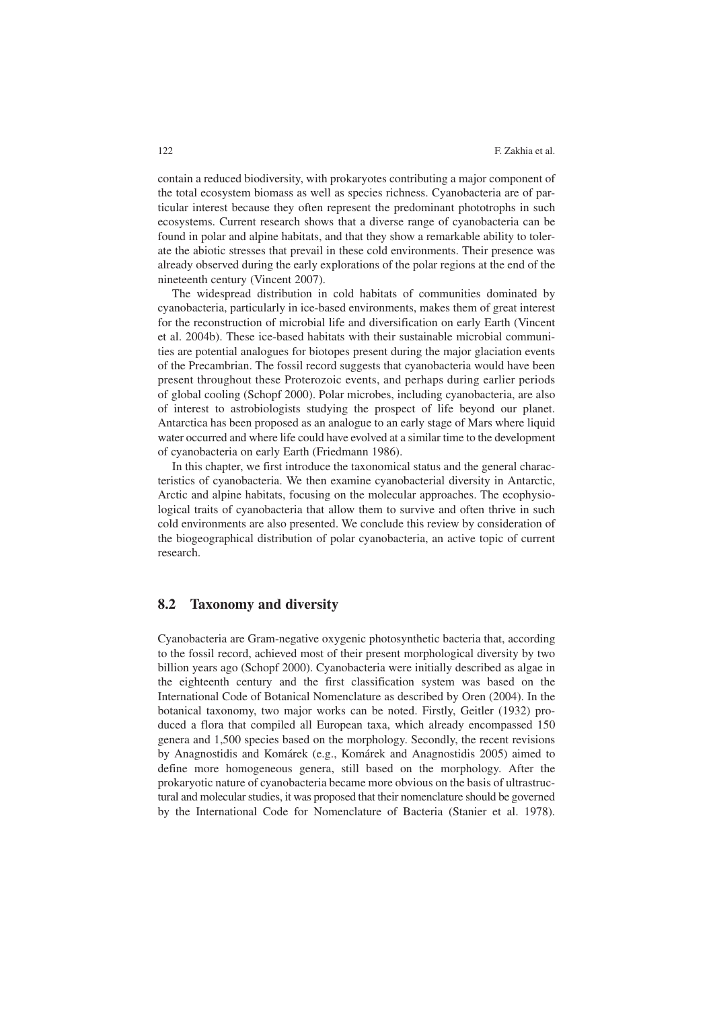contain a reduced biodiversity, with prokaryotes contributing a major component of the total ecosystem biomass as well as species richness. Cyanobacteria are of particular interest because they often represent the predominant phototrophs in such ecosystems. Current research shows that a diverse range of cyanobacteria can be found in polar and alpine habitats, and that they show a remarkable ability to tolerate the abiotic stresses that prevail in these cold environments. Their presence was already observed during the early explorations of the polar regions at the end of the nineteenth century (Vincent 2007).

The widespread distribution in cold habitats of communities dominated by cyanobacteria, particularly in ice-based environments, makes them of great interest for the reconstruction of microbial life and diversification on early Earth (Vincent et al. 2004b). These ice-based habitats with their sustainable microbial communities are potential analogues for biotopes present during the major glaciation events of the Precambrian. The fossil record suggests that cyanobacteria would have been present throughout these Proterozoic events, and perhaps during earlier periods of global cooling (Schopf 2000). Polar microbes, including cyanobacteria, are also of interest to astrobiologists studying the prospect of life beyond our planet. Antarctica has been proposed as an analogue to an early stage of Mars where liquid water occurred and where life could have evolved at a similar time to the development of cyanobacteria on early Earth (Friedmann 1986).

In this chapter, we first introduce the taxonomical status and the general characteristics of cyanobacteria. We then examine cyanobacterial diversity in Antarctic, Arctic and alpine habitats, focusing on the molecular approaches. The ecophysiological traits of cyanobacteria that allow them to survive and often thrive in such cold environments are also presented. We conclude this review by consideration of the biogeographical distribution of polar cyanobacteria, an active topic of current research.

# **8.2 Taxonomy and diversity**

Cyanobacteria are Gram-negative oxygenic photosynthetic bacteria that, according to the fossil record, achieved most of their present morphological diversity by two billion years ago (Schopf 2000). Cyanobacteria were initially described as algae in the eighteenth century and the first classification system was based on the International Code of Botanical Nomenclature as described by Oren (2004). In the botanical taxonomy, two major works can be noted. Firstly, Geitler (1932) produced a flora that compiled all European taxa, which already encompassed 150 genera and 1,500 species based on the morphology. Secondly, the recent revisions by Anagnostidis and Komárek (e.g., Komárek and Anagnostidis 2005) aimed to define more homogeneous genera, still based on the morphology. After the prokaryotic nature of cyanobacteria became more obvious on the basis of ultrastructural and molecular studies, it was proposed that their nomenclature should be governed by the International Code for Nomenclature of Bacteria (Stanier et al. 1978).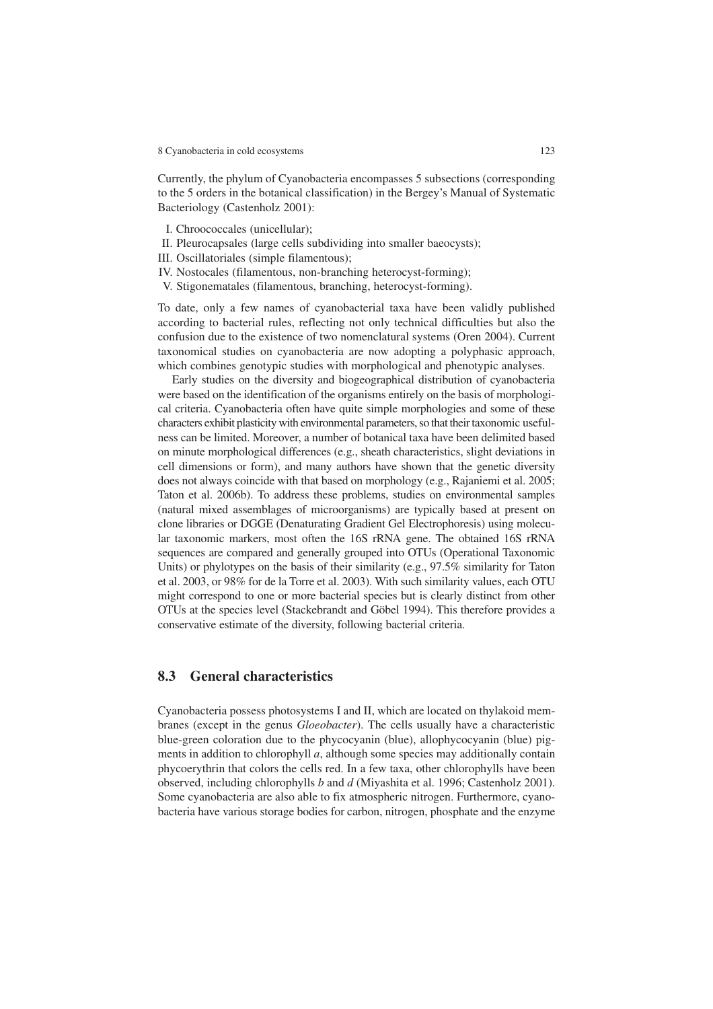Currently, the phylum of Cyanobacteria encompasses 5 subsections (corresponding to the 5 orders in the botanical classification) in the Bergey's Manual of Systematic Bacteriology (Castenholz 2001):

- I. Chroococcales (unicellular);
- II. Pleurocapsales (large cells subdividing into smaller baeocysts);
- III. Oscillatoriales (simple filamentous);
- IV. Nostocales (filamentous, non-branching heterocyst-forming);
- V. Stigonematales (filamentous, branching, heterocyst-forming).

To date, only a few names of cyanobacterial taxa have been validly published according to bacterial rules, reflecting not only technical difficulties but also the confusion due to the existence of two nomenclatural systems (Oren 2004). Current taxonomical studies on cyanobacteria are now adopting a polyphasic approach, which combines genotypic studies with morphological and phenotypic analyses.

Early studies on the diversity and biogeographical distribution of cyanobacteria were based on the identification of the organisms entirely on the basis of morphological criteria. Cyanobacteria often have quite simple morphologies and some of these characters exhibit plasticity with environmental parameters, so that their taxonomic usefulness can be limited. Moreover, a number of botanical taxa have been delimited based on minute morphological differences (e.g., sheath characteristics, slight deviations in cell dimensions or form), and many authors have shown that the genetic diversity does not always coincide with that based on morphology (e.g., Rajaniemi et al. 2005; Taton et al. 2006b). To address these problems, studies on environmental samples (natural mixed assemblages of microorganisms) are typically based at present on clone libraries or DGGE (Denaturating Gradient Gel Electrophoresis) using molecular taxonomic markers, most often the 16S rRNA gene. The obtained 16S rRNA sequences are compared and generally grouped into OTUs (Operational Taxonomic Units) or phylotypes on the basis of their similarity (e.g., 97.5% similarity for Taton et al. 2003, or 98% for de la Torre et al. 2003). With such similarity values, each OTU might correspond to one or more bacterial species but is clearly distinct from other OTUs at the species level (Stackebrandt and Göbel 1994). This therefore provides a conservative estimate of the diversity, following bacterial criteria.

# **8.3 General characteristics**

Cyanobacteria possess photosystems I and II, which are located on thylakoid membranes (except in the genus *Gloeobacter*). The cells usually have a characteristic blue-green coloration due to the phycocyanin (blue), allophycocyanin (blue) pigments in addition to chlorophyll *a*, although some species may additionally contain phycoerythrin that colors the cells red. In a few taxa, other chlorophylls have been observed, including chlorophylls *b* and *d* (Miyashita et al. 1996; Castenholz 2001). Some cyanobacteria are also able to fix atmospheric nitrogen. Furthermore, cyanobacteria have various storage bodies for carbon, nitrogen, phosphate and the enzyme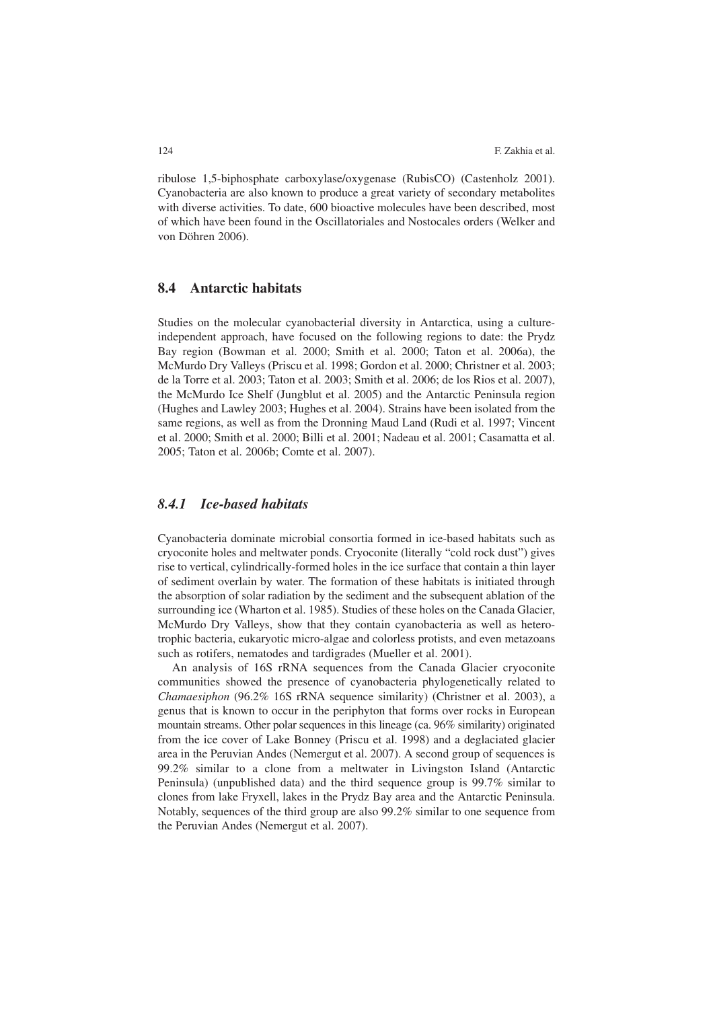ribulose 1,5-biphosphate carboxylase/oxygenase (RubisCO) (Castenholz 2001). Cyanobacteria are also known to produce a great variety of secondary metabolites with diverse activities. To date, 600 bioactive molecules have been described, most of which have been found in the Oscillatoriales and Nostocales orders (Welker and von Döhren 2006).

## **8.4 Antarctic habitats**

Studies on the molecular cyanobacterial diversity in Antarctica, using a cultureindependent approach, have focused on the following regions to date: the Prydz Bay region (Bowman et al. 2000; Smith et al. 2000; Taton et al. 2006a), the McMurdo Dry Valleys (Priscu et al. 1998; Gordon et al. 2000; Christner et al. 2003; de la Torre et al. 2003; Taton et al. 2003; Smith et al. 2006; de los Rios et al. 2007), the McMurdo Ice Shelf (Jungblut et al. 2005) and the Antarctic Peninsula region (Hughes and Lawley 2003; Hughes et al. 2004). Strains have been isolated from the same regions, as well as from the Dronning Maud Land (Rudi et al. 1997; Vincent et al. 2000; Smith et al. 2000; Billi et al. 2001; Nadeau et al. 2001; Casamatta et al. 2005; Taton et al. 2006b; Comte et al. 2007).

# *8.4.1 Ice-based habitats*

Cyanobacteria dominate microbial consortia formed in ice-based habitats such as cryoconite holes and meltwater ponds. Cryoconite (literally "cold rock dust") gives rise to vertical, cylindrically-formed holes in the ice surface that contain a thin layer of sediment overlain by water. The formation of these habitats is initiated through the absorption of solar radiation by the sediment and the subsequent ablation of the surrounding ice (Wharton et al. 1985). Studies of these holes on the Canada Glacier, McMurdo Dry Valleys, show that they contain cyanobacteria as well as heterotrophic bacteria, eukaryotic micro-algae and colorless protists, and even metazoans such as rotifers, nematodes and tardigrades (Mueller et al. 2001).

An analysis of 16S rRNA sequences from the Canada Glacier cryoconite communities showed the presence of cyanobacteria phylogenetically related to *Chamaesiphon* (96.2% 16S rRNA sequence similarity) (Christner et al. 2003), a genus that is known to occur in the periphyton that forms over rocks in European mountain streams. Other polar sequences in this lineage (ca. 96% similarity) originated from the ice cover of Lake Bonney (Priscu et al. 1998) and a deglaciated glacier area in the Peruvian Andes (Nemergut et al. 2007). A second group of sequences is 99.2% similar to a clone from a meltwater in Livingston Island (Antarctic Peninsula) (unpublished data) and the third sequence group is 99.7% similar to clones from lake Fryxell, lakes in the Prydz Bay area and the Antarctic Peninsula. Notably, sequences of the third group are also 99.2% similar to one sequence from the Peruvian Andes (Nemergut et al. 2007).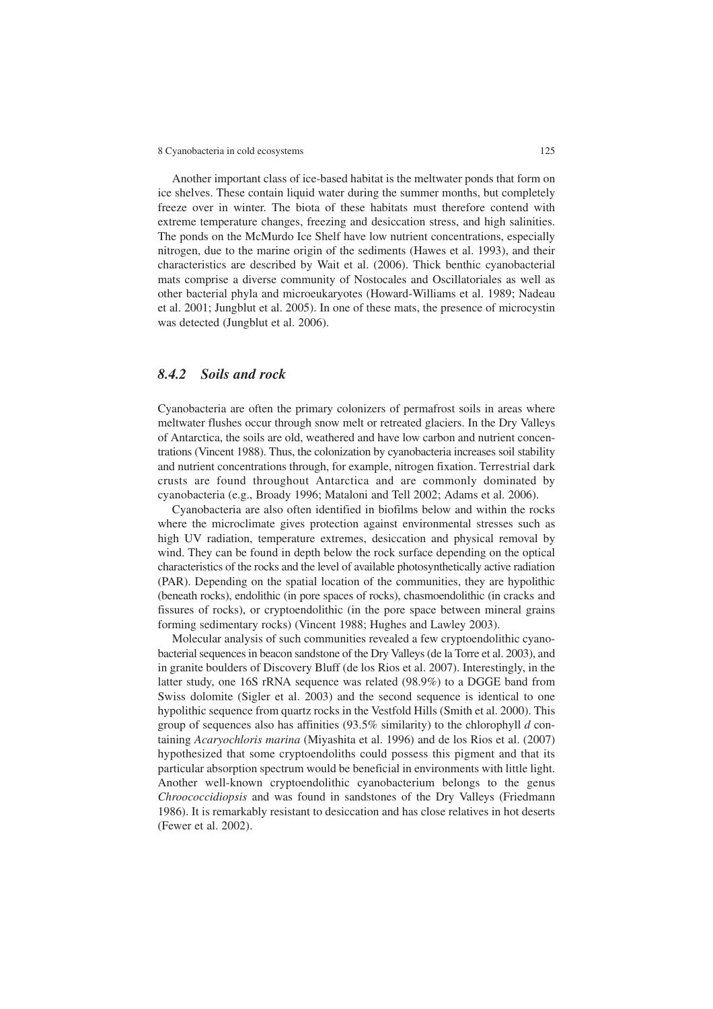Another important class of ice-based habitat is the meltwater ponds that form on ice shelves. These contain liquid water during the summer months, but completely freeze over in winter. The biota of these habitats must therefore contend with extreme temperature changes, freezing and desiccation stress, and high salinities. The ponds on the McMurdo Ice Shelf have low nutrient concentrations, especially nitrogen, due to the marine origin of the sediments (Hawes et al. 1993), and their characteristics are described by Wait et al. (2006). Thick benthic cyanobacterial mats comprise a diverse community of Nostocales and Oscillatoriales as well as other bacterial phyla and microeukaryotes (Howard-Williams et al. 1989; Nadeau et al. 2001; Jungblut et al. 2005). In one of these mats, the presence of microcystin was detected (Jungblut et al. 2006).

# *8.4.2 Soils and rock*

Cyanobacteria are often the primary colonizers of permafrost soils in areas where meltwater flushes occur through snow melt or retreated glaciers. In the Dry Valleys of Antarctica, the soils are old, weathered and have low carbon and nutrient concentrations (Vincent 1988). Thus, the colonization by cyanobacteria increases soil stability and nutrient concentrations through, for example, nitrogen fixation. Terrestrial dark crusts are found throughout Antarctica and are commonly dominated by cyanobacteria (e.g., Broady 1996; Mataloni and Tell 2002; Adams et al. 2006).

Cyanobacteria are also often identified in biofilms below and within the rocks where the microclimate gives protection against environmental stresses such as high UV radiation, temperature extremes, desiccation and physical removal by wind. They can be found in depth below the rock surface depending on the optical characteristics of the rocks and the level of available photosynthetically active radiation (PAR). Depending on the spatial location of the communities, they are hypolithic (beneath rocks), endolithic (in pore spaces of rocks), chasmoendolithic (in cracks and fissures of rocks), or cryptoendolithic (in the pore space between mineral grains forming sedimentary rocks) (Vincent 1988; Hughes and Lawley 2003).

Molecular analysis of such communities revealed a few cryptoendolithic cyanobacterial sequences in beacon sandstone of the Dry Valleys (de la Torre et al. 2003), and in granite boulders of Discovery Bluff (de los Rios et al. 2007). Interestingly, in the latter study, one 16S rRNA sequence was related (98.9%) to a DGGE band from Swiss dolomite (Sigler et al. 2003) and the second sequence is identical to one hypolithic sequence from quartz rocks in the Vestfold Hills (Smith et al. 2000). This group of sequences also has affinities (93.5% similarity) to the chlorophyll *d* containing *Acaryochloris marina* (Miyashita et al. 1996) and de los Rios et al. (2007) hypothesized that some cryptoendoliths could possess this pigment and that its particular absorption spectrum would be beneficial in environments with little light. Another well-known cryptoendolithic cyanobacterium belongs to the genus *Chroococcidiopsis* and was found in sandstones of the Dry Valleys (Friedmann 1986). It is remarkably resistant to desiccation and has close relatives in hot deserts (Fewer et al. 2002).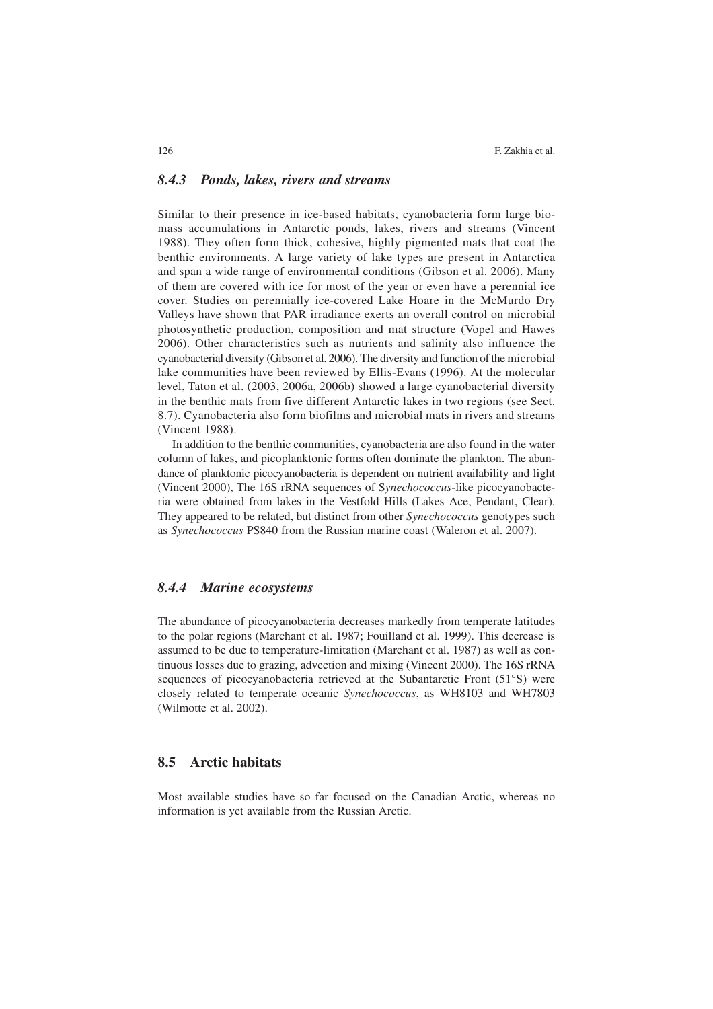#### *8.4.3 Ponds, lakes, rivers and streams*

Similar to their presence in ice-based habitats, cyanobacteria form large biomass accumulations in Antarctic ponds, lakes, rivers and streams (Vincent 1988). They often form thick, cohesive, highly pigmented mats that coat the benthic environments. A large variety of lake types are present in Antarctica and span a wide range of environmental conditions (Gibson et al. 2006). Many of them are covered with ice for most of the year or even have a perennial ice cover. Studies on perennially ice-covered Lake Hoare in the McMurdo Dry Valleys have shown that PAR irradiance exerts an overall control on microbial photosynthetic production, composition and mat structure (Vopel and Hawes 2006). Other characteristics such as nutrients and salinity also influence the cyanobacterial diversity (Gibson et al. 2006). The diversity and function of the microbial lake communities have been reviewed by Ellis-Evans (1996). At the molecular level, Taton et al. (2003, 2006a, 2006b) showed a large cyanobacterial diversity in the benthic mats from five different Antarctic lakes in two regions (see Sect. 8.7). Cyanobacteria also form biofilms and microbial mats in rivers and streams (Vincent 1988).

In addition to the benthic communities, cyanobacteria are also found in the water column of lakes, and picoplanktonic forms often dominate the plankton. The abundance of planktonic picocyanobacteria is dependent on nutrient availability and light (Vincent 2000), The 16S rRNA sequences of S*ynechococcus*-like picocyanobacteria were obtained from lakes in the Vestfold Hills (Lakes Ace, Pendant, Clear). They appeared to be related, but distinct from other *Synechococcus* genotypes such as *Synechococcus* PS840 from the Russian marine coast (Waleron et al. 2007).

#### *8.4.4 Marine ecosystems*

The abundance of picocyanobacteria decreases markedly from temperate latitudes to the polar regions (Marchant et al. 1987; Fouilland et al. 1999). This decrease is assumed to be due to temperature-limitation (Marchant et al. 1987) as well as continuous losses due to grazing, advection and mixing (Vincent 2000). The 16S rRNA sequences of picocyanobacteria retrieved at the Subantarctic Front (51°S) were closely related to temperate oceanic *Synechococcus*, as WH8103 and WH7803 (Wilmotte et al. 2002).

### **8.5 Arctic habitats**

Most available studies have so far focused on the Canadian Arctic, whereas no information is yet available from the Russian Arctic.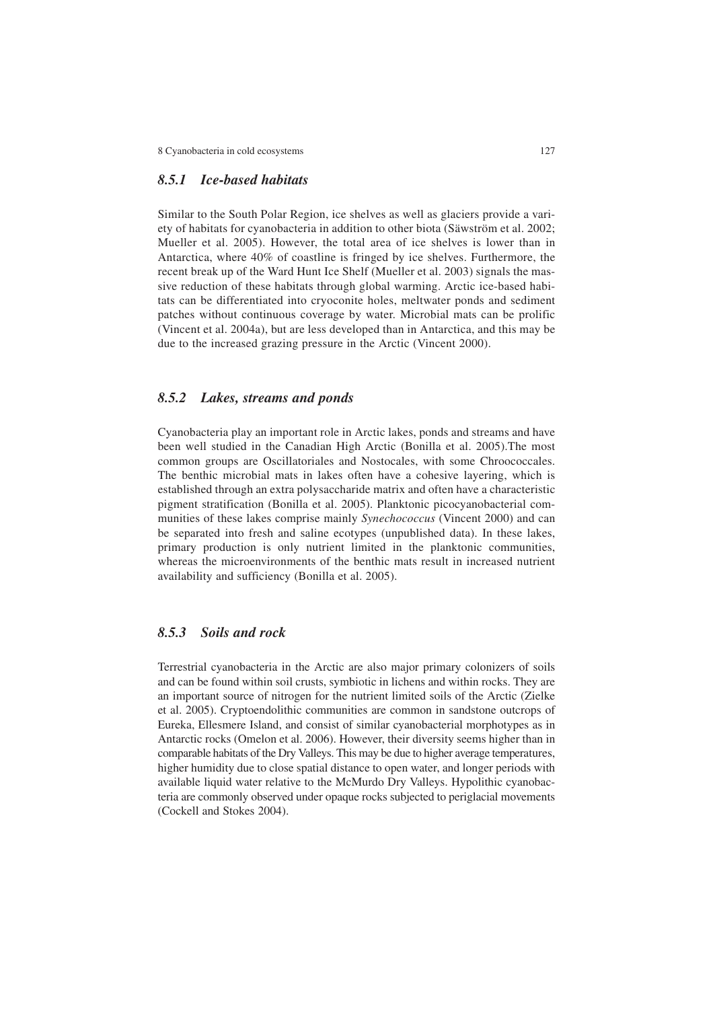# *8.5.1 Ice-based habitats*

Similar to the South Polar Region, ice shelves as well as glaciers provide a variety of habitats for cyanobacteria in addition to other biota (Säwström et al. 2002; Mueller et al. 2005). However, the total area of ice shelves is lower than in Antarctica, where 40% of coastline is fringed by ice shelves. Furthermore, the recent break up of the Ward Hunt Ice Shelf (Mueller et al. 2003) signals the massive reduction of these habitats through global warming. Arctic ice-based habitats can be differentiated into cryoconite holes, meltwater ponds and sediment patches without continuous coverage by water. Microbial mats can be prolific (Vincent et al. 2004a), but are less developed than in Antarctica, and this may be due to the increased grazing pressure in the Arctic (Vincent 2000).

#### *8.5.2 Lakes, streams and ponds*

Cyanobacteria play an important role in Arctic lakes, ponds and streams and have been well studied in the Canadian High Arctic (Bonilla et al. 2005).The most common groups are Oscillatoriales and Nostocales, with some Chroococcales. The benthic microbial mats in lakes often have a cohesive layering, which is established through an extra polysaccharide matrix and often have a characteristic pigment stratification (Bonilla et al. 2005). Planktonic picocyanobacterial communities of these lakes comprise mainly *Synechococcus* (Vincent 2000) and can be separated into fresh and saline ecotypes (unpublished data). In these lakes, primary production is only nutrient limited in the planktonic communities, whereas the microenvironments of the benthic mats result in increased nutrient availability and sufficiency (Bonilla et al. 2005).

#### *8.5.3 Soils and rock*

Terrestrial cyanobacteria in the Arctic are also major primary colonizers of soils and can be found within soil crusts, symbiotic in lichens and within rocks. They are an important source of nitrogen for the nutrient limited soils of the Arctic (Zielke et al. 2005). Cryptoendolithic communities are common in sandstone outcrops of Eureka, Ellesmere Island, and consist of similar cyanobacterial morphotypes as in Antarctic rocks (Omelon et al. 2006). However, their diversity seems higher than in comparable habitats of the Dry Valleys. This may be due to higher average temperatures, higher humidity due to close spatial distance to open water, and longer periods with available liquid water relative to the McMurdo Dry Valleys. Hypolithic cyanobacteria are commonly observed under opaque rocks subjected to periglacial movements (Cockell and Stokes 2004).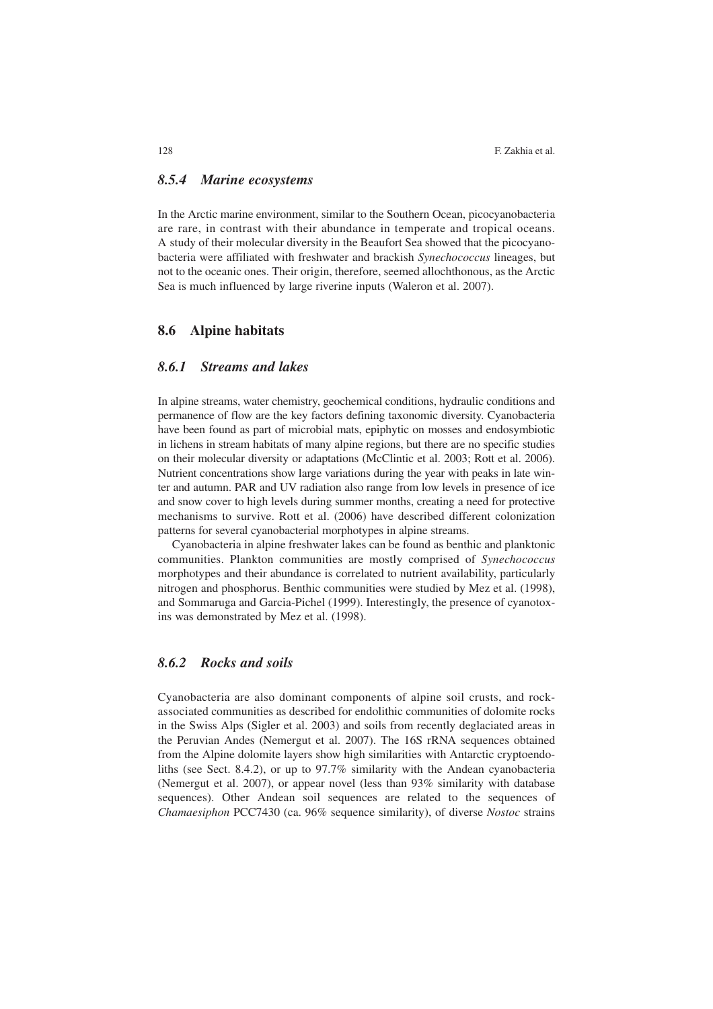128 F. Zakhia et al.

# *8.5.4 Marine ecosystems*

In the Arctic marine environment, similar to the Southern Ocean, picocyanobacteria are rare, in contrast with their abundance in temperate and tropical oceans. A study of their molecular diversity in the Beaufort Sea showed that the picocyanobacteria were affiliated with freshwater and brackish *Synechococcus* lineages, but not to the oceanic ones. Their origin, therefore, seemed allochthonous, as the Arctic Sea is much influenced by large riverine inputs (Waleron et al. 2007).

### **8.6 Alpine habitats**

### *8.6.1 Streams and lakes*

In alpine streams, water chemistry, geochemical conditions, hydraulic conditions and permanence of flow are the key factors defining taxonomic diversity. Cyanobacteria have been found as part of microbial mats, epiphytic on mosses and endosymbiotic in lichens in stream habitats of many alpine regions, but there are no specific studies on their molecular diversity or adaptations (McClintic et al. 2003; Rott et al. 2006). Nutrient concentrations show large variations during the year with peaks in late winter and autumn. PAR and UV radiation also range from low levels in presence of ice and snow cover to high levels during summer months, creating a need for protective mechanisms to survive. Rott et al. (2006) have described different colonization patterns for several cyanobacterial morphotypes in alpine streams.

Cyanobacteria in alpine freshwater lakes can be found as benthic and planktonic communities. Plankton communities are mostly comprised of *Synechococcus* morphotypes and their abundance is correlated to nutrient availability, particularly nitrogen and phosphorus. Benthic communities were studied by Mez et al. (1998), and Sommaruga and Garcia-Pichel (1999). Interestingly, the presence of cyanotoxins was demonstrated by Mez et al. (1998).

# *8.6.2 Rocks and soils*

Cyanobacteria are also dominant components of alpine soil crusts, and rockassociated communities as described for endolithic communities of dolomite rocks in the Swiss Alps (Sigler et al. 2003) and soils from recently deglaciated areas in the Peruvian Andes (Nemergut et al. 2007). The 16S rRNA sequences obtained from the Alpine dolomite layers show high similarities with Antarctic cryptoendoliths (see Sect. 8.4.2), or up to 97.7% similarity with the Andean cyanobacteria (Nemergut et al. 2007), or appear novel (less than 93% similarity with database sequences). Other Andean soil sequences are related to the sequences of *Chamaesiphon* PCC7430 (ca. 96% sequence similarity), of diverse *Nostoc* strains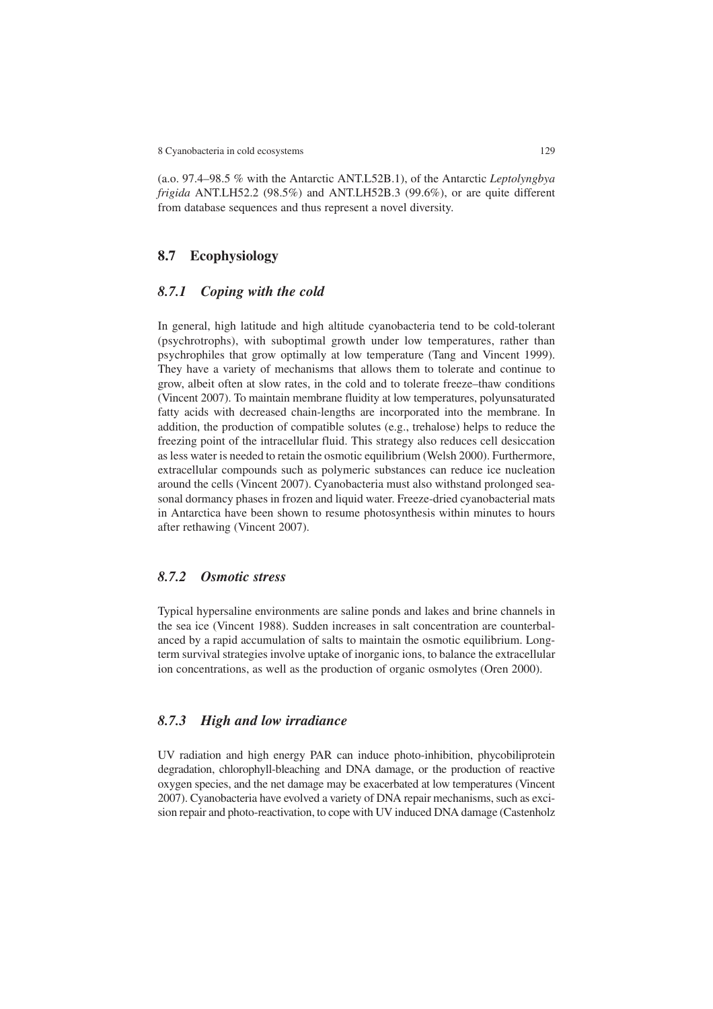(a.o. 97.4–98.5 % with the Antarctic ANT.L52B.1), of the Antarctic *Leptolyngbya frigida* ANT.LH52.2 (98.5%) and ANT.LH52B.3 (99.6%), or are quite different from database sequences and thus represent a novel diversity.

# **8.7 Ecophysiology**

### *8.7.1 Coping with the cold*

In general, high latitude and high altitude cyanobacteria tend to be cold-tolerant (psychrotrophs), with suboptimal growth under low temperatures, rather than psychrophiles that grow optimally at low temperature (Tang and Vincent 1999). They have a variety of mechanisms that allows them to tolerate and continue to grow, albeit often at slow rates, in the cold and to tolerate freeze–thaw conditions (Vincent 2007). To maintain membrane fluidity at low temperatures, polyunsaturated fatty acids with decreased chain-lengths are incorporated into the membrane. In addition, the production of compatible solutes (e.g., trehalose) helps to reduce the freezing point of the intracellular fluid. This strategy also reduces cell desiccation as less water is needed to retain the osmotic equilibrium (Welsh 2000). Furthermore, extracellular compounds such as polymeric substances can reduce ice nucleation around the cells (Vincent 2007). Cyanobacteria must also withstand prolonged seasonal dormancy phases in frozen and liquid water. Freeze-dried cyanobacterial mats in Antarctica have been shown to resume photosynthesis within minutes to hours after rethawing (Vincent 2007).

# *8.7.2 Osmotic stress*

Typical hypersaline environments are saline ponds and lakes and brine channels in the sea ice (Vincent 1988). Sudden increases in salt concentration are counterbalanced by a rapid accumulation of salts to maintain the osmotic equilibrium. Longterm survival strategies involve uptake of inorganic ions, to balance the extracellular ion concentrations, as well as the production of organic osmolytes (Oren 2000).

# *8.7.3 High and low irradiance*

UV radiation and high energy PAR can induce photo-inhibition, phycobiliprotein degradation, chlorophyll-bleaching and DNA damage, or the production of reactive oxygen species, and the net damage may be exacerbated at low temperatures (Vincent 2007). Cyanobacteria have evolved a variety of DNA repair mechanisms, such as excision repair and photo-reactivation, to cope with UV induced DNA damage (Castenholz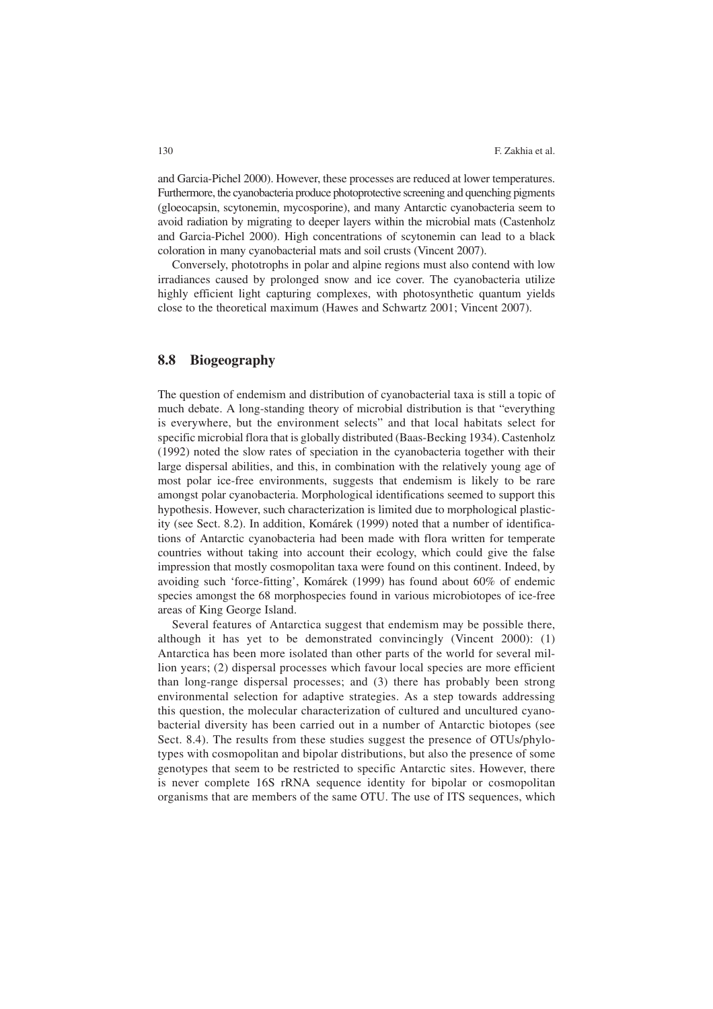and Garcia-Pichel 2000). However, these processes are reduced at lower temperatures. Furthermore, the cyanobacteria produce photoprotective screening and quenching pigments (gloeocapsin, scytonemin, mycosporine), and many Antarctic cyanobacteria seem to avoid radiation by migrating to deeper layers within the microbial mats (Castenholz and Garcia-Pichel 2000). High concentrations of scytonemin can lead to a black coloration in many cyanobacterial mats and soil crusts (Vincent 2007).

Conversely, phototrophs in polar and alpine regions must also contend with low irradiances caused by prolonged snow and ice cover. The cyanobacteria utilize highly efficient light capturing complexes, with photosynthetic quantum yields close to the theoretical maximum (Hawes and Schwartz 2001; Vincent 2007).

# **8.8 Biogeography**

The question of endemism and distribution of cyanobacterial taxa is still a topic of much debate. A long-standing theory of microbial distribution is that "everything is everywhere, but the environment selects" and that local habitats select for specific microbial flora that is globally distributed (Baas-Becking 1934). Castenholz (1992) noted the slow rates of speciation in the cyanobacteria together with their large dispersal abilities, and this, in combination with the relatively young age of most polar ice-free environments, suggests that endemism is likely to be rare amongst polar cyanobacteria. Morphological identifications seemed to support this hypothesis. However, such characterization is limited due to morphological plasticity (see Sect. 8.2). In addition, Komárek (1999) noted that a number of identifications of Antarctic cyanobacteria had been made with flora written for temperate countries without taking into account their ecology, which could give the false impression that mostly cosmopolitan taxa were found on this continent. Indeed, by avoiding such 'force-fitting', Komárek (1999) has found about 60% of endemic species amongst the 68 morphospecies found in various microbiotopes of ice-free areas of King George Island.

Several features of Antarctica suggest that endemism may be possible there, although it has yet to be demonstrated convincingly (Vincent 2000): (1) Antarctica has been more isolated than other parts of the world for several million years; (2) dispersal processes which favour local species are more efficient than long-range dispersal processes; and (3) there has probably been strong environmental selection for adaptive strategies. As a step towards addressing this question, the molecular characterization of cultured and uncultured cyanobacterial diversity has been carried out in a number of Antarctic biotopes (see Sect. 8.4). The results from these studies suggest the presence of OTUs/phylotypes with cosmopolitan and bipolar distributions, but also the presence of some genotypes that seem to be restricted to specific Antarctic sites. However, there is never complete 16S rRNA sequence identity for bipolar or cosmopolitan organisms that are members of the same OTU. The use of ITS sequences, which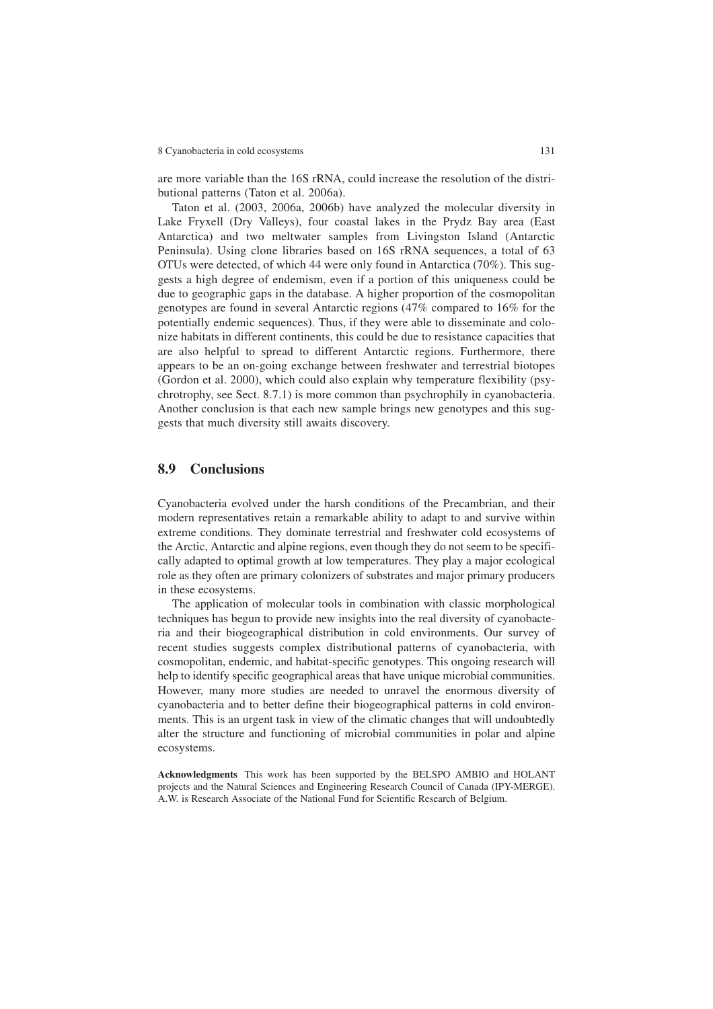are more variable than the 16S rRNA, could increase the resolution of the distributional patterns (Taton et al. 2006a).

Taton et al. (2003, 2006a, 2006b) have analyzed the molecular diversity in Lake Fryxell (Dry Valleys), four coastal lakes in the Prydz Bay area (East Antarctica) and two meltwater samples from Livingston Island (Antarctic Peninsula). Using clone libraries based on 16S rRNA sequences, a total of 63 OTUs were detected, of which 44 were only found in Antarctica (70%). This suggests a high degree of endemism, even if a portion of this uniqueness could be due to geographic gaps in the database. A higher proportion of the cosmopolitan genotypes are found in several Antarctic regions (47% compared to 16% for the potentially endemic sequences). Thus, if they were able to disseminate and colonize habitats in different continents, this could be due to resistance capacities that are also helpful to spread to different Antarctic regions. Furthermore, there appears to be an on-going exchange between freshwater and terrestrial biotopes (Gordon et al. 2000), which could also explain why temperature flexibility (psychrotrophy, see Sect. 8.7.1) is more common than psychrophily in cyanobacteria. Another conclusion is that each new sample brings new genotypes and this suggests that much diversity still awaits discovery.

# **8.9 Conclusions**

Cyanobacteria evolved under the harsh conditions of the Precambrian, and their modern representatives retain a remarkable ability to adapt to and survive within extreme conditions. They dominate terrestrial and freshwater cold ecosystems of the Arctic, Antarctic and alpine regions, even though they do not seem to be specifically adapted to optimal growth at low temperatures. They play a major ecological role as they often are primary colonizers of substrates and major primary producers in these ecosystems.

The application of molecular tools in combination with classic morphological techniques has begun to provide new insights into the real diversity of cyanobacteria and their biogeographical distribution in cold environments. Our survey of recent studies suggests complex distributional patterns of cyanobacteria, with cosmopolitan, endemic, and habitat-specific genotypes. This ongoing research will help to identify specific geographical areas that have unique microbial communities. However, many more studies are needed to unravel the enormous diversity of cyanobacteria and to better define their biogeographical patterns in cold environments. This is an urgent task in view of the climatic changes that will undoubtedly alter the structure and functioning of microbial communities in polar and alpine ecosystems.

**Acknowledgments** This work has been supported by the BELSPO AMBIO and HOLANT projects and the Natural Sciences and Engineering Research Council of Canada (IPY-MERGE). A.W. is Research Associate of the National Fund for Scientific Research of Belgium.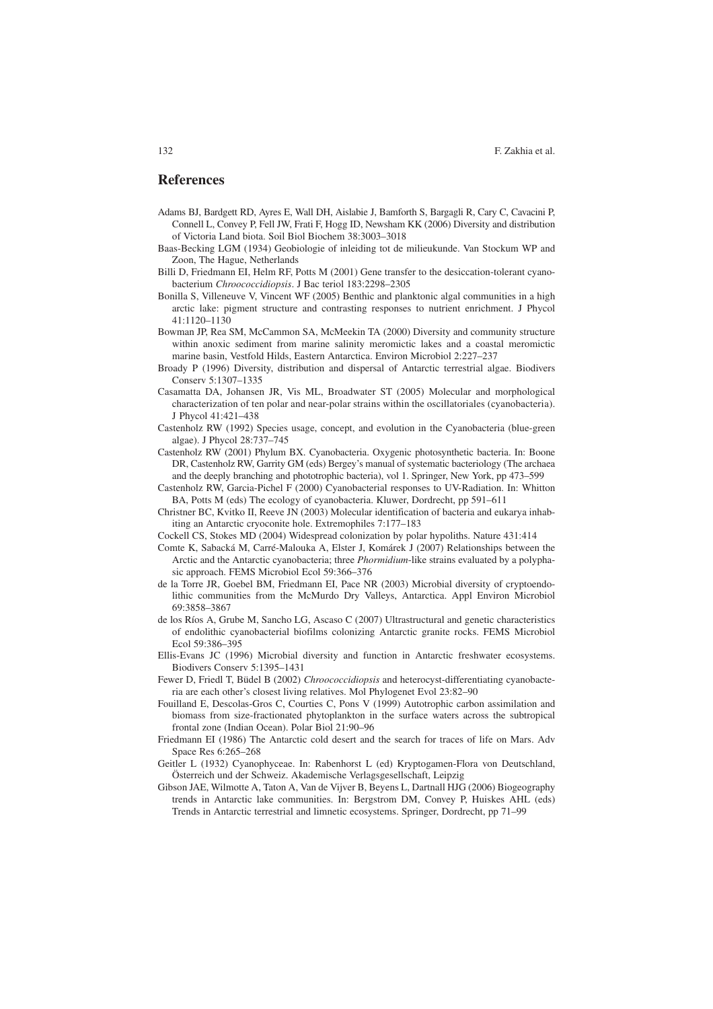#### **References**

- Adams BJ, Bardgett RD, Ayres E, Wall DH, Aislabie J, Bamforth S, Bargagli R, Cary C, Cavacini P, Connell L, Convey P, Fell JW, Frati F, Hogg ID, Newsham KK (2006) Diversity and distribution of Victoria Land biota. Soil Biol Biochem 38:3003–3018
- Baas-Becking LGM (1934) Geobiologie of inleiding tot de milieukunde. Van Stockum WP and Zoon, The Hague, Netherlands
- Billi D, Friedmann EI, Helm RF, Potts M (2001) Gene transfer to the desiccation-tolerant cyanobacterium *Chroococcidiopsis*. J Bac teriol 183:2298–2305
- Bonilla S, Villeneuve V, Vincent WF (2005) Benthic and planktonic algal communities in a high arctic lake: pigment structure and contrasting responses to nutrient enrichment. J Phycol 41:1120–1130
- Bowman JP, Rea SM, McCammon SA, McMeekin TA (2000) Diversity and community structure within anoxic sediment from marine salinity meromictic lakes and a coastal meromictic marine basin, Vestfold Hilds, Eastern Antarctica. Environ Microbiol 2:227–237
- Broady P (1996) Diversity, distribution and dispersal of Antarctic terrestrial algae. Biodivers Conserv 5:1307–1335
- Casamatta DA, Johansen JR, Vis ML, Broadwater ST (2005) Molecular and morphological characterization of ten polar and near-polar strains within the oscillatoriales (cyanobacteria). J Phycol 41:421–438
- Castenholz RW (1992) Species usage, concept, and evolution in the Cyanobacteria (blue-green algae). J Phycol 28:737–745
- Castenholz RW (2001) Phylum BX. Cyanobacteria. Oxygenic photosynthetic bacteria. In: Boone DR, Castenholz RW, Garrity GM (eds) Bergey's manual of systematic bacteriology (The archaea and the deeply branching and phototrophic bacteria), vol 1. Springer, New York, pp 473–599
- Castenholz RW, Garcia-Pichel F (2000) Cyanobacterial responses to UV-Radiation. In: Whitton BA, Potts M (eds) The ecology of cyanobacteria. Kluwer, Dordrecht, pp 591–611
- Christner BC, Kvitko II, Reeve JN (2003) Molecular identification of bacteria and eukarya inhabiting an Antarctic cryoconite hole. Extremophiles 7:177–183
- Cockell CS, Stokes MD (2004) Widespread colonization by polar hypoliths. Nature 431:414
- Comte K, Sabacká M, Carré-Malouka A, Elster J, Komárek J (2007) Relationships between the Arctic and the Antarctic cyanobacteria; three *Phormidium*-like strains evaluated by a polyphasic approach. FEMS Microbiol Ecol 59:366–376
- de la Torre JR, Goebel BM, Friedmann EI, Pace NR (2003) Microbial diversity of cryptoendolithic communities from the McMurdo Dry Valleys, Antarctica. Appl Environ Microbiol 69:3858–3867
- de los Ríos A, Grube M, Sancho LG, Ascaso C (2007) Ultrastructural and genetic characteristics of endolithic cyanobacterial biofilms colonizing Antarctic granite rocks. FEMS Microbiol Ecol 59:386–395
- Ellis-Evans JC (1996) Microbial diversity and function in Antarctic freshwater ecosystems. Biodivers Conserv 5:1395–1431
- Fewer D, Friedl T, Büdel B (2002) *Chroococcidiopsis* and heterocyst-differentiating cyanobacteria are each other's closest living relatives. Mol Phylogenet Evol 23:82–90
- Fouilland E, Descolas-Gros C, Courties C, Pons V (1999) Autotrophic carbon assimilation and biomass from size-fractionated phytoplankton in the surface waters across the subtropical frontal zone (Indian Ocean). Polar Biol 21:90–96
- Friedmann EI (1986) The Antarctic cold desert and the search for traces of life on Mars. Adv Space Res 6:265–268
- Geitler L (1932) Cyanophyceae. In: Rabenhorst L (ed) Kryptogamen-Flora von Deutschland, Österreich und der Schweiz. Akademische Verlagsgesellschaft, Leipzig
- Gibson JAE, Wilmotte A, Taton A, Van de Vijver B, Beyens L, Dartnall HJG (2006) Biogeography trends in Antarctic lake communities. In: Bergstrom DM, Convey P, Huiskes AHL (eds) Trends in Antarctic terrestrial and limnetic ecosystems. Springer, Dordrecht, pp 71–99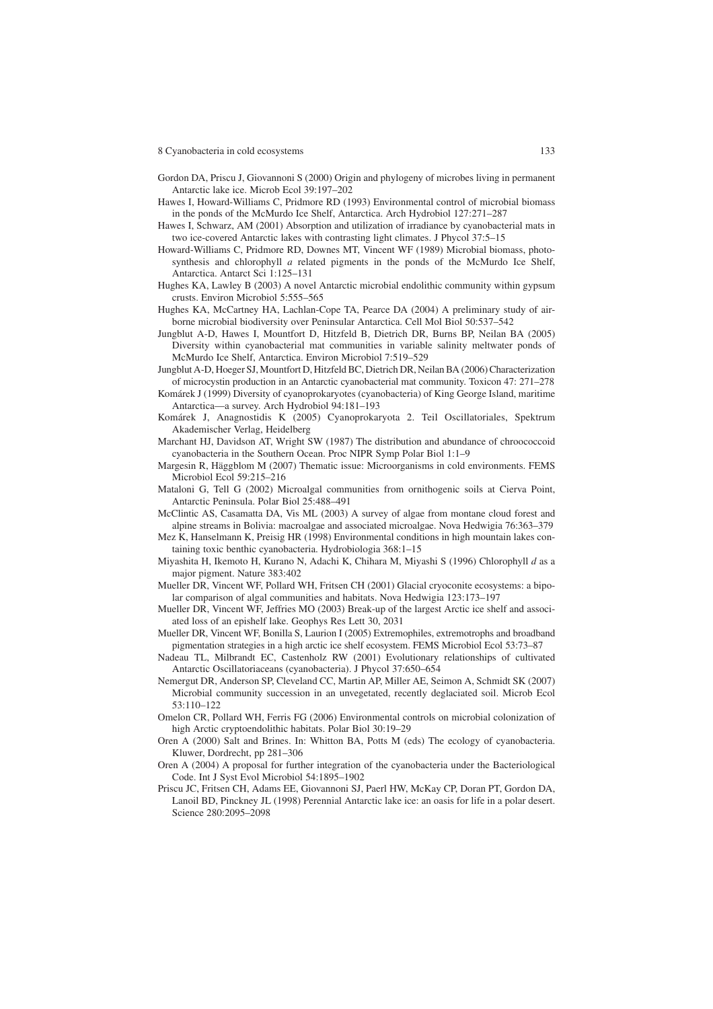- Gordon DA, Priscu J, Giovannoni S (2000) Origin and phylogeny of microbes living in permanent Antarctic lake ice. Microb Ecol 39:197–202
- Hawes I, Howard-Williams C, Pridmore RD (1993) Environmental control of microbial biomass in the ponds of the McMurdo Ice Shelf, Antarctica. Arch Hydrobiol 127:271–287
- Hawes I, Schwarz, AM (2001) Absorption and utilization of irradiance by cyanobacterial mats in two ice-covered Antarctic lakes with contrasting light climates. J Phycol 37:5–15
- Howard-Williams C, Pridmore RD, Downes MT, Vincent WF (1989) Microbial biomass, photosynthesis and chlorophyll *a* related pigments in the ponds of the McMurdo Ice Shelf, Antarctica. Antarct Sci 1:125–131
- Hughes KA, Lawley B (2003) A novel Antarctic microbial endolithic community within gypsum crusts. Environ Microbiol 5:555–565
- Hughes KA, McCartney HA, Lachlan-Cope TA, Pearce DA (2004) A preliminary study of airborne microbial biodiversity over Peninsular Antarctica. Cell Mol Biol 50:537–542
- Jungblut A-D, Hawes I, Mountfort D, Hitzfeld B, Dietrich DR, Burns BP, Neilan BA (2005) Diversity within cyanobacterial mat communities in variable salinity meltwater ponds of McMurdo Ice Shelf, Antarctica. Environ Microbiol 7:519–529
- Jungblut A-D, Hoeger SJ, Mountfort D, Hitzfeld BC, Dietrich DR, Neilan BA (2006) Characterization of microcystin production in an Antarctic cyanobacterial mat community. Toxicon 47: 271–278
- Komárek J (1999) Diversity of cyanoprokaryotes (cyanobacteria) of King George Island, maritime Antarctica—a survey. Arch Hydrobiol 94:181–193
- Komárek J, Anagnostidis K (2005) Cyanoprokaryota 2. Teil Oscillatoriales, Spektrum Akademischer Verlag, Heidelberg
- Marchant HJ, Davidson AT, Wright SW (1987) The distribution and abundance of chroococcoid cyanobacteria in the Southern Ocean. Proc NIPR Symp Polar Biol 1:1–9
- Margesin R, Häggblom M (2007) Thematic issue: Microorganisms in cold environments. FEMS Microbiol Ecol 59:215–216
- Mataloni G, Tell G (2002) Microalgal communities from ornithogenic soils at Cierva Point, Antarctic Peninsula. Polar Biol 25:488–491
- McClintic AS, Casamatta DA, Vis ML (2003) A survey of algae from montane cloud forest and alpine streams in Bolivia: macroalgae and associated microalgae. Nova Hedwigia 76:363–379
- Mez K, Hanselmann K, Preisig HR (1998) Environmental conditions in high mountain lakes containing toxic benthic cyanobacteria. Hydrobiologia 368:1–15
- Miyashita H, Ikemoto H, Kurano N, Adachi K, Chihara M, Miyashi S (1996) Chlorophyll *d* as a major pigment. Nature 383:402
- Mueller DR, Vincent WF, Pollard WH, Fritsen CH (2001) Glacial cryoconite ecosystems: a bipolar comparison of algal communities and habitats. Nova Hedwigia 123:173–197
- Mueller DR, Vincent WF, Jeffries MO (2003) Break-up of the largest Arctic ice shelf and associated loss of an epishelf lake. Geophys Res Lett 30, 2031
- Mueller DR, Vincent WF, Bonilla S, Laurion I (2005) Extremophiles, extremotrophs and broadband pigmentation strategies in a high arctic ice shelf ecosystem. FEMS Microbiol Ecol 53:73–87
- Nadeau TL, Milbrandt EC, Castenholz RW (2001) Evolutionary relationships of cultivated Antarctic Oscillatoriaceans (cyanobacteria). J Phycol 37:650–654
- Nemergut DR, Anderson SP, Cleveland CC, Martin AP, Miller AE, Seimon A, Schmidt SK (2007) Microbial community succession in an unvegetated, recently deglaciated soil. Microb Ecol 53:110–122
- Omelon CR, Pollard WH, Ferris FG (2006) Environmental controls on microbial colonization of high Arctic cryptoendolithic habitats. Polar Biol 30:19–29
- Oren A (2000) Salt and Brines. In: Whitton BA, Potts M (eds) The ecology of cyanobacteria. Kluwer, Dordrecht, pp 281–306
- Oren A (2004) A proposal for further integration of the cyanobacteria under the Bacteriological Code. Int J Syst Evol Microbiol 54:1895–1902
- Priscu JC, Fritsen CH, Adams EE, Giovannoni SJ, Paerl HW, McKay CP, Doran PT, Gordon DA, Lanoil BD, Pinckney JL (1998) Perennial Antarctic lake ice: an oasis for life in a polar desert. Science 280:2095–2098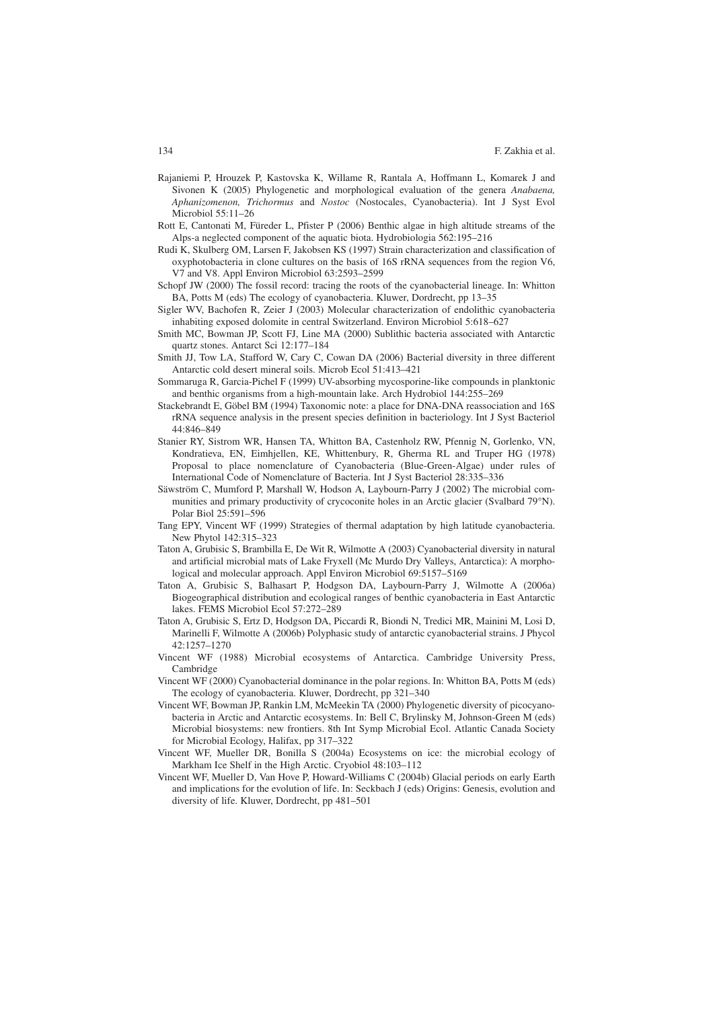- Rajaniemi P, Hrouzek P, Kastovska K, Willame R, Rantala A, Hoffmann L, Komarek J and Sivonen K (2005) Phylogenetic and morphological evaluation of the genera *Anabaena, Aphanizomenon, Trichormus* and *Nostoc* (Nostocales, Cyanobacteria). Int J Syst Evol Microbiol 55:11–26
- Rott E, Cantonati M, Füreder L, Pfister P (2006) Benthic algae in high altitude streams of the Alps-a neglected component of the aquatic biota. Hydrobiologia 562:195–216
- Rudi K, Skulberg OM, Larsen F, Jakobsen KS (1997) Strain characterization and classification of oxyphotobacteria in clone cultures on the basis of 16S rRNA sequences from the region V6, V7 and V8. Appl Environ Microbiol 63:2593–2599
- Schopf JW (2000) The fossil record: tracing the roots of the cyanobacterial lineage. In: Whitton BA, Potts M (eds) The ecology of cyanobacteria. Kluwer, Dordrecht, pp 13–35
- Sigler WV, Bachofen R, Zeier J (2003) Molecular characterization of endolithic cyanobacteria inhabiting exposed dolomite in central Switzerland. Environ Microbiol 5:618–627
- Smith MC, Bowman JP, Scott FJ, Line MA (2000) Sublithic bacteria associated with Antarctic quartz stones. Antarct Sci 12:177–184
- Smith JJ, Tow LA, Stafford W, Cary C, Cowan DA (2006) Bacterial diversity in three different Antarctic cold desert mineral soils. Microb Ecol 51:413–421
- Sommaruga R, Garcia-Pichel F (1999) UV-absorbing mycosporine-like compounds in planktonic and benthic organisms from a high-mountain lake. Arch Hydrobiol 144:255–269
- Stackebrandt E, Göbel BM (1994) Taxonomic note: a place for DNA-DNA reassociation and 16S rRNA sequence analysis in the present species definition in bacteriology. Int J Syst Bacteriol 44:846–849
- Stanier RY, Sistrom WR, Hansen TA, Whitton BA, Castenholz RW, Pfennig N, Gorlenko, VN, Kondratieva, EN, Eimhjellen, KE, Whittenbury, R, Gherma RL and Truper HG (1978) Proposal to place nomenclature of Cyanobacteria (Blue-Green-Algae) under rules of International Code of Nomenclature of Bacteria. Int J Syst Bacteriol 28:335–336
- Säwström C, Mumford P, Marshall W, Hodson A, Laybourn-Parry J (2002) The microbial communities and primary productivity of crycoconite holes in an Arctic glacier (Svalbard 79°N). Polar Biol 25:591–596
- Tang EPY, Vincent WF (1999) Strategies of thermal adaptation by high latitude cyanobacteria. New Phytol 142:315–323
- Taton A, Grubisic S, Brambilla E, De Wit R, Wilmotte A (2003) Cyanobacterial diversity in natural and artificial microbial mats of Lake Fryxell (Mc Murdo Dry Valleys, Antarctica): A morphological and molecular approach. Appl Environ Microbiol 69:5157–5169
- Taton A, Grubisic S, Balhasart P, Hodgson DA, Laybourn-Parry J, Wilmotte A (2006a) Biogeographical distribution and ecological ranges of benthic cyanobacteria in East Antarctic lakes. FEMS Microbiol Ecol 57:272–289
- Taton A, Grubisic S, Ertz D, Hodgson DA, Piccardi R, Biondi N, Tredici MR, Mainini M, Losi D, Marinelli F, Wilmotte A (2006b) Polyphasic study of antarctic cyanobacterial strains. J Phycol 42:1257–1270
- Vincent WF (1988) Microbial ecosystems of Antarctica. Cambridge University Press, Cambridge
- Vincent WF (2000) Cyanobacterial dominance in the polar regions. In: Whitton BA, Potts M (eds) The ecology of cyanobacteria. Kluwer, Dordrecht, pp 321–340
- Vincent WF, Bowman JP, Rankin LM, McMeekin TA (2000) Phylogenetic diversity of picocyanobacteria in Arctic and Antarctic ecosystems. In: Bell C, Brylinsky M, Johnson-Green M (eds) Microbial biosystems: new frontiers. 8th Int Symp Microbial Ecol. Atlantic Canada Society for Microbial Ecology, Halifax, pp 317–322
- Vincent WF, Mueller DR, Bonilla S (2004a) Ecosystems on ice: the microbial ecology of Markham Ice Shelf in the High Arctic. Cryobiol 48:103–112
- Vincent WF, Mueller D, Van Hove P, Howard-Williams C (2004b) Glacial periods on early Earth and implications for the evolution of life. In: Seckbach J (eds) Origins: Genesis, evolution and diversity of life. Kluwer, Dordrecht, pp 481–501